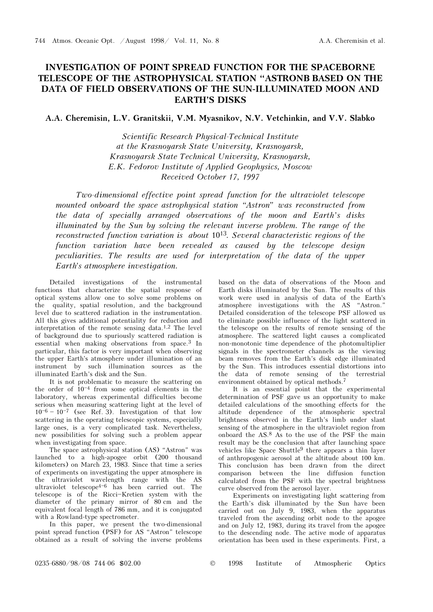## INVESTIGATION OF POINT SPREAD FUNCTION FOR THE SPACEBORNE TELESCOPE OF THE ASTROPHYSICAL STATION "ASTRONB BASED ON THE DATA OF FIELD OBSERVATIONS OF THE SUN-ILLUMINATED MOON AND EARTH'S DISKS

## A.A. Cheremisin, L.V. Granitskii, V.M. Myasnikov, N.V. Vetchinkin, and V.V. Slabko

Scientific Research Physical-Technical Institute at the Krasnoyarsk State University, Krasnoyarsk, Krasnoyarsk State Technical University, Krasnoyarsk, E.K. Fedorov Institute of Applied Geophysics, Moscow Received October 17, 1997

Two-dimensional effective point spread function for the ultraviolet telescope mounted onboard the space astrophysical station "Astron" was reconstructed from the data of specially arranged observations of the moon and Earth's disks illuminated by the Sun by solving the relevant inverse problem. The range of the reconstructed function variation is about  $10^{13}$ . Several characteristic regions of the function variation have been revealed as caused by the telescope design peculiarities. The results are used for interpretation of the data of the upper Earth's atmosphere investigation.

Detailed investigations of the instrumental functions that characterize the spatial response of optical systems allow one to solve some problems on the quality, spatial resolution, and the background level due to scattered radiation in the instrumentation. All this gives additional potentiality for reduction and interpretation of the remote sensing data.<sup>1,2</sup> The level of background due to spuriously scattered radiation is essential when making observations from space.3 In particular, this factor is very important when observing the upper Earth's atmosphere under illumination of an instrument by such illumination sources as the illuminated Earth's disk and the Sun.

It is not problematic to measure the scattering on the order of  $10^{-4}$  from some optical elements in the laboratory, whereas experimental difficulties become serious when measuring scattering light at the level of  $10^{-6}$  –  $10^{-7}$  (see Ref. 3). Investigation of that low scattering in the operating telescopic systems, especially large ones, is a very complicated task. Nevertheless, new possibilities for solving such a problem appear when investigating from space.

The space astrophysical station (AS) "Astron" was launched to a high-apogee orbit (200 thousand kilometers) on March 23, 1983. Since that time a series of experiments on investigating the upper atmosphere in the ultraviolet wavelength range with the AS ultraviolet telescope<sup>4-6</sup> has been carried out. The telescope is of the Ricci-Kretien system with the diameter of the primary mirror of 80 cm and the equivalent focal length of 786 mm, and it is conjugated with a Rowland-type spectrometer.

In this paper, we present the two-dimensional point spread function (PSF) for AS "Astron" telescope obtained as a result of solving the inverse problems

based on the data of observations of the Moon and Earth disks illuminated by the Sun. The results of this work were used in analysis of data of the Earth's atmosphere investigations with the AS "Astron." Detailed consideration of the telescope PSF allowed us to eliminate possible influence of the light scattered in the telescope on the results of remote sensing of the atmosphere. The scattered light causes a complicated non-monotonic time dependence of the photomultiplier signals in the spectrometer channels as the viewing beam removes from the Earth's disk edge illuminated by the Sun. This introduces essential distortions into the data of remote sensing of the terrestrial environment obtained by optical methods.<sup>7</sup>

It is an essential point that the experimental determination of PSF gave us an opportunity to make detailed calculations of the smoothing effects for the altitude dependence of the atmospheric spectral brightness observed in the Earth's limb under slant sensing of the atmosphere in the ultraviolet region from onboard the AS.8 As to the use of the PSF the main result may be the conclusion that after launching space vehicles like Space Shuttle9 there appears a thin layer of anthropogenic aerosol at the altitude about 100 km. This conclusion has been drawn from the direct comparison between the line diffusion function calculated from the PSF with the spectral brightness curve observed from the aerosol layer.

Experiments on investigating light scattering from the Earth's disk illuminated by the Sun have been carried out on July 9, 1983, when the apparatus traveled from the ascending orbit node to the apogee and on July 12, 1983, during its travel from the apogee to the descending node. The active mode of apparatus orientation has been used in these experiments. First, a

0235-6880/98/08 744-06 \$02.00 © 1998 Institute of Atmospheric Optics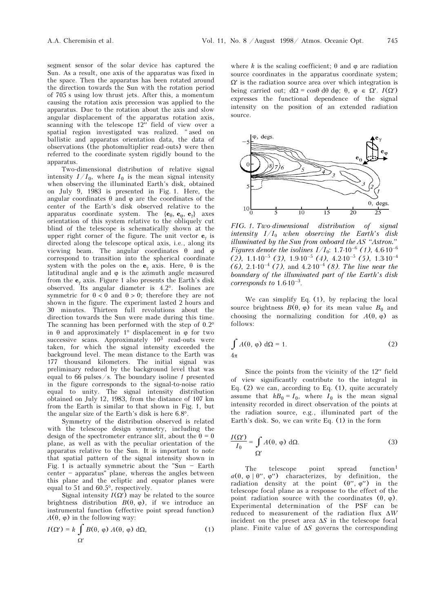segment sensor of the solar device has captured the Sun. As a result, one axis of the apparatus was fixed in the space. Then the apparatus has been rotated around the direction towards the Sun with the rotation period of 705 s using low thrust jets. After this, a momentum causing the rotation axis precession was applied to the apparatus. Due to the rotation about the axis and slow angular displacement of the apparatus rotation axis, scanning with the telescope 12″ field of view over a spatial region investigated was realized. "ased on ballistic and apparatus orientation data, the data of observations (the photomultiplier read-outs) were then referred to the coordinate system rigidly bound to the apparatus.

Two-dimensional distribution of relative signal intensity  $I/I_0$ , where  $I_0$  is the mean signal intensity when observing the illuminated Earth's disk, obtained on July 9, 1983 is presented in Fig. 1. Here, the angular coordinates  $\theta$  and  $\varphi$  are the coordinates of the center of the Earth's disk observed relative to the apparatus coordinate system. The  $\{e_\theta, e_\phi, e_\gamma\}$  axes orientation of this system relative to the obliquely cut blind of the telescope is schematically shown at the upper right corner of the figure. The unit vector  $e_y$  is directed along the telescope optical axis, i.e., along its viewing beam. The angular coordinates  $\theta$  and  $\varphi$ correspond to transition into the spherical coordinate system with the poles on the  $e_\gamma$  axis. Here,  $\theta$  is the latitudinal angle and  $\varphi$  is the azimuth angle measured from the  $\mathbf{e}_{\gamma}$  axis. Figure 1 also presents the Earth's disk observed. Its angular diameter is 4.2°. Isolines are symmetric for  $\theta < 0$  and  $\theta > 0$ ; therefore they are not shown in the figure. The experiment lasted 2 hours and 30 minutes. Thirteen full revolutions about the direction towards the Sun were made during this time. The scanning has been performed with the step of 0.2° in θ and approximately 1° displacement in ϕ for two successive scans. Approximately 103 read-outs were taken, for which the signal intensity exceeded the background level. The mean distance to the Earth was 177 thousand kilometers. The initial signal was preliminary reduced by the background level that was equal to  $66$  pulses/s. The boundary isoline 1 presented in the figure corresponds to the signal-to-noise ratio equal to unity. The signal intensity distribution obtained on July 12, 1983, from the distance of 107 km from the Earth is similar to that shown in Fig. 1, but the angular size of the Earth's disk is here 6.8°.

Symmetry of the distribution observed is related with the telescope design symmetry, including the design of the spectrometer entrance slit, about the  $\theta = 0$ plane, as well as with the peculiar orientation of the apparatus relative to the Sun. It is important to note that spatial pattern of the signal intensity shown in Fig. 1 is actually symmetric about the "Sun  $-$  Earth  $center - apparatus'$  plane, whereas the angles between this plane and the ecliptic and equator planes were equal to 51 and 60.5°, respectively.

Signal intensity  $I(\Omega')$  may be related to the source brightness distribution  $B(θ, φ)$ , if we introduce an instrumental function (effective point spread function)  $A(\theta, \varphi)$  in the following way:

$$
I(\Omega') = k \int_{\Omega'} B(\theta, \varphi) A(\theta, \varphi) d\Omega, \qquad (1)
$$

where k is the scaling coefficient;  $\theta$  and  $\phi$  are radiation source coordinates in the apparatus coordinate system;  $\Omega'$  is the radiation source area over which integration is being carried out;  $d\Omega = \cos\theta d\theta d\varphi$ ;  $\theta$ ,  $\varphi \in \Omega'$ .  $I(\Omega')$ expresses the functional dependence of the signal intensity on the position of an extended radiation source.



FIG. 1. Two-dimensional distribution of signal intensity  $I/I_0$  when observing the Earth's disk illuminated by the Sun from onboard the AS "Astron." Figures denote the isolines  $I/I_0$ : 1.7⋅10<sup>-6</sup> (1), 4.6⋅10<sup>-6</sup>  $(2)$ , 1.1⋅10<sup>-5</sup> (3), 1.9⋅10<sup>-5</sup> (4), 4.2⋅10<sup>-5</sup> (5), 1.3⋅10<sup>-4</sup> (6),  $2.1 \cdot 10^{-4}$  (7), and  $4.2 \cdot 10^{-4}$  (8). The line near the boundary of the illuminated part of the Earth's disk corresponds to  $1.6 \cdot 10^{-3}$ .

We can simplify Eq. (1), by replacing the local source brightness  $B(\theta, \varphi)$  for its mean value  $B_0$  and choosing the normalizing condition for  $A(\theta, \varphi)$  as follows:

$$
\int A(\theta, \varphi) d\Omega = 1.
$$
\n(2)

Since the points from the vicinity of the 12′′ field of view significantly contribute to the integral in Eq. (2) we can, according to Eq. (1), quite accurately assume that  $kB_0 = I_0$ , where  $I_0$  is the mean signal intensity recorded in direct observation of the points at the radiation source, e.g., illuminated part of the Earth's disk. So, we can write Eq. (1) in the form

$$
\frac{I(\Omega')}{I_0} = \int \limits_{\Omega'} A(\theta, \varphi) \, d\Omega. \tag{3}
$$

The telescope point spread function<sup>1</sup>  $a(\theta, \varphi | \theta'', \varphi'')$  characterizes, by definition, the radiation density at the point  $(\theta'', \varphi'')$  in the telescope focal plane as a response to the effect of the point radiation source with the coordinates  $(θ, φ)$ . Experimental determination of the PSF can be reduced to measurement of the radiation flux ΔW incident on the preset area  $\Delta S$  in the telescope focal plane. Finite value of  $\Delta S$  governs the corresponding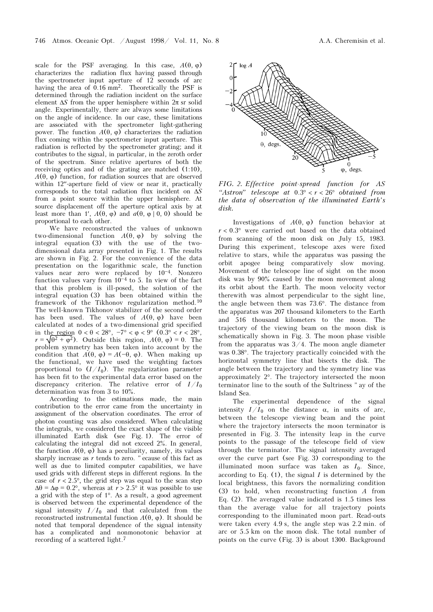scale for the PSF averaging. In this case,  $A(\theta, \varphi)$ characterizes the radiation flux having passed through the spectrometer input aperture of  $12$  seconds of arc having the area of 0.16 mm<sup>2</sup>. Theoretically the PSF is determined through the radiation incident on the surface element  $\Delta S$  from the upper hemisphere within  $2\pi$  sr solid angle. Experimentally, there are always some limitations on the angle of incidence. In our case, these limitations are associated with the spectrometer light-gathering power. The function  $A(θ, φ)$  characterizes the radiation flux coming within the spectrometer input aperture. This radiation is reflected by the spectrometer grating; and it contributes to the signal, in particular, in the zeroth order of the spectrum. Since relative apertures of both the receiving optics and of the grating are matched (1:10),  $A(\theta, \varphi)$  function, for radiation sources that are observed within 12″-aperture field of view or near it, practically corresponds to the total radiation flux incident on ΔS from a point source within the upper hemisphere. At source displacement off the aperture optical axis by at least more than 1',  $A(\theta, \varphi)$  and  $a(\theta, \varphi | 0, 0)$  should be proportional to each other.

We have reconstructed the values of unknown two-dimensional function  $A(\theta, \varphi)$  by solving the integral equation (3) with the use of the twodimensional data array presented in Fig. 1. The results are shown in Fig. 2. For the convenience of the data presentation on the logarithmic scale, the function values near zero were replaced by  $10^{-4}$ . Nonzero function values vary from  $10^{-4}$  to 5. In view of the fact that this problem is ill-posed, the solution of the integral equation (3) has been obtained within the framework of the Tikhonov regularization method.<sup>10</sup> The well-known Tikhonov stabilizer of the second order has been used. The values of  $A(\theta, \varphi)$  have been calculated at nodes of a two-dimensional grid specified in the region  $0 < \theta < 28^{\circ}$ ,  $-7^{\circ} < \varphi < 9^{\circ}$  (0.3°  $< r < 28^{\circ}$ )  $r = \sqrt{\theta^2 + \varphi^2}$ . Outside this region,  $A(\theta, \varphi) = 0$ . The problem symmetry has been taken into account by the condition that  $A(\theta, \varphi) = A(-\theta, \varphi)$ . When making up the functional, we have used the weighting factors proportional to  $(I/I_0)$ . The regularization parameter has been fit to the experimental data error based on the discrepancy criterion. The relative error of  $I/I_0$ determination was from 3 to 10%.

According to the estimations made, the main contribution to the error came from the uncertainty in assignment of the observation coordinates. The error of photon counting was also considered. When calculating the integrals, we considered the exact shape of the visible illuminated Earth disk (see Fig. 1). The error of calculating the integral did not exceed 2%. In general, the function  $A(\theta, \varphi)$  has a peculiarity, namely, its values sharply increase as  $r$  tends to zero. " ecause of this fact as well as due to limited computer capabilities, we have used grids with different steps in different regions. In the case of  $r < 2.5^{\circ}$ , the grid step was equal to the scan step  $\Delta\theta = \Delta\varphi = 0.2^{\circ}$ , whereas at  $r > 2.5^{\circ}$  it was possible to use a grid with the step of 1°. As a result, a good agreement is observed between the experimental dependence of the signal intensity  $I/I_0$  and that calculated from the reconstructed instrumental function  $A(θ, φ)$ . It should be noted that temporal dependence of the signal intensity has a complicated and nonmonotonic behavior at recording of a scattered light.<sup>7</sup>



FIG. 2. Effective point-spread function for AS "Astron" telescope at  $0.3^\circ < r < 26^\circ$  obtained from the data of observation of the illuminated Earth's disk.

Investigations of  $A(\theta, \varphi)$  function behavior at  $r < 0.3^{\circ}$  were carried out based on the data obtained from scanning of the moon disk on July 15, 1983. During this experiment, telescope axes were fixed relative to stars, while the apparatus was passing the orbit apogee being comparatively slow moving. Movement of the telescope line of sight on the moon disk was by 90% caused by the moon movement along its orbit about the Earth. The moon velocity vector therewith was almost perpendicular to the sight line, the angle between them was 73.6°. The distance from the apparatus was 207 thousand kilometers to the Earth and 516 thousand kilometers to the moon. The trajectory of the viewing beam on the moon disk is schematically shown in Fig. 3. The moon phase visible from the apparatus was  $3/4$ . The moon angle diameter was 0.38°. The trajectory practically coincided with the horizontal symmetry line that bisects the disk. The angle between the trajectory and the symmetry line was approximately 2°. The trajectory intersected the moon terminator line to the south of the Sultriness " ay of the Island Sea.

The experimental dependence of the signal intensity  $I/I_0$  on the distance  $\alpha$ , in units of arc, between the telescope viewing beam and the point where the trajectory intersects the moon terminator is presented in Fig. 3. The intensity leap in the curve points to the passage of the telescope field of view through the terminator. The signal intensity averaged over the curve part (see Fig. 3) corresponding to the illuminated moon surface was taken as  $I_0$ . Since, according to Eq.  $(1)$ , the signal I is determined by the local brightness, this favors the normalizing condition (3) to hold, when reconstructing function A from Eq. (2). The averaged value indicated is 1.5 times less than the average value for all trajectory points corresponding to the illuminated moon part. Read-outs were taken every 4.9 s, the angle step was 2.2 min. of arc or 5.5 km on the moon disk. The total number of points on the curve (Fig. 3) is about 1300. Background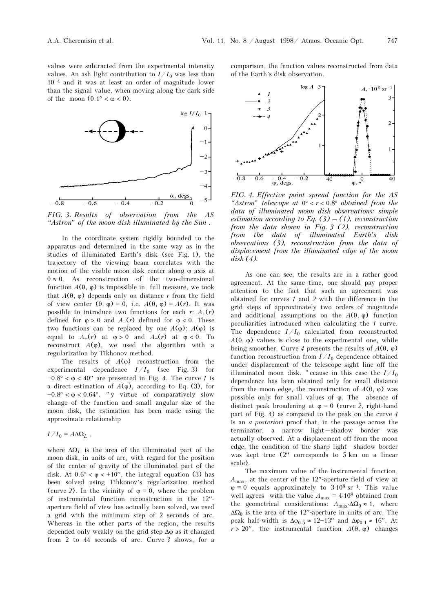values were subtracted from the experimental intensity values. An ash light contribution to  $I/I_0$  was less than  $10^{-4}$  and it was at least an order of magnitude lower than the signal value, when moving along the dark side of the moon  $(0.1^{\circ} < \alpha < 0)$ .



FIG. 3. Results of observation from the AS "Astron" of the moon disk illuminated by the Sun .

In the coordinate system rigidly bounded to the apparatus and determined in the same way as in the studies of illuminated Earth's disk (see Fig. 1), the trajectory of the viewing beam correlates with the motion of the visible moon disk center along  $\varphi$  axis at  $\theta \approx 0$ . As reconstruction of the two-dimensional function  $A(θ, φ)$  is impossible in full measure, we took that  $A(\theta, \varphi)$  depends only on distance r from the field of view center  $(\theta, \varphi) = 0$ , i.e.  $A(\theta, \varphi) = A(r)$ . It was possible to introduce two functions for each r:  $A_+(r)$ defined for  $\varphi > 0$  and  $A=(r)$  defined for  $\varphi < 0$ . These two functions can be replaced by one  $A(\varphi)$ :  $A(\varphi)$  is equal to  $A_+(r)$  at  $\varphi > 0$  and  $A_-(r)$  at  $\varphi < 0$ . To reconstruct  $A(\varphi)$ , we used the algorithm with a regularization by Tikhonov method.

The results of  $A(\varphi)$  reconstruction from the experimental dependence  $I/I_0$  (see Fig. 3) for  $-0.8^{\circ} < \varphi < 40''$  are presented in Fig. 4. The curve 1 is a direct estimation of  $A(\varphi)$ , according to Eq. (3), for  $-0.8^{\circ} < \varphi < 0.64^{\circ}$ . "y virtue of comparatively slow change of the function and small angular size of the moon disk, the estimation has been made using the approximate relationship

$$
I/I_0 = A \Delta \Omega_L ,
$$

where  $\Delta\Omega_L$  is the area of the illuminated part of the moon disk, in units of arc, with regard for the position of the center of gravity of the illuminated part of the disk. At  $0.6^{\circ} < \varphi < +10''$ , the integral equation (3) has been solved using Tihkonov's regularization method (curve 2). In the vicinity of  $\varphi = 0$ , where the problem of instrumental function reconstruction in the 12′′ aperture field of view has actually been solved, we used a grid with the minimum step of 2 seconds of arc. Whereas in the other parts of the region, the results depended only weakly on the grid step  $\Delta\varphi$  as it changed from 2 to 44 seconds of arc. Curve 3 shows, for a

comparison, the function values reconstructed from data of the Earth's disk observation.



FIG. 4. Effective point spread function for the AS "Astron" telescope at  $0^\circ < r < 0.8^\circ$  obtained from the data of illuminated moon disk observations: simple estimation according to Eq.  $(3) - (1)$ , reconstruction from the data shown in Fig. 3 (2), reconstruction from the data of illuminated Earth's disk observations (3), reconstruction from the data of displacement from the illuminated edge of the moon disk (4).

As one can see, the results are in a rather good agreement. At the same time, one should pay proper attention to the fact that such an agreement was obtained for curves 1 and 2 with the difference in the grid steps of approximately two orders of magnitude and additional assumptions on the  $A(\theta, \varphi)$  function peculiarities introduced when calculating the 1 curve. The dependence  $I/I_0$  calculated from reconstructed  $A(\theta, \varphi)$  values is close to the experimental one, while being smoother. Curve 4 presents the results of  $A(\theta, \varphi)$ function reconstruction from  $I/I_0$  dependence obtained under displacement of the telescope sight line off the illuminated moon disk. "ecause in this case the  $I/I_0$ dependence has been obtained only for small distance from the moon edge, the reconstruction of  $A(\theta, \varphi)$  was possible only for small values of ϕ. The absence of distinct peak broadening at  $\varphi = 0$  (curve 2, right-hand part of Fig. 4) as compared to the peak on the curve 4 is an a posteriori proof that, in the passage across the terminator, a narrow light-shadow border was actually observed. At a displacement off from the moon edge, the condition of the sharp light $-s$ hadow border was kept true (2′′ corresponds to 5 km on a linear scale).

The maximum value of the instrumental function,  $A_{\text{max}}$ , at the center of the 12″-aperture field of view at  $\varphi = 0$  equals approximately to 3.10<sup>8</sup> sr<sup>-1</sup>. This value well agrees with the value  $A_{\rm max} = 4 {\cdot} 10^8$  obtained from the geometrical considerations:  $A_{\text{max}} \Delta \Omega_0 \approx 1$ , where  $\Delta\Omega_0$  is the area of the 12″-aperture in units of arc. The peak half-width is  $Δφ<sub>0.5</sub> ≈ 12–13′′$  and  $Δφ<sub>0.1</sub> ≈ 16′′. At$  $r > 20$ '', the instrumental function  $A(\theta, \varphi)$  changes